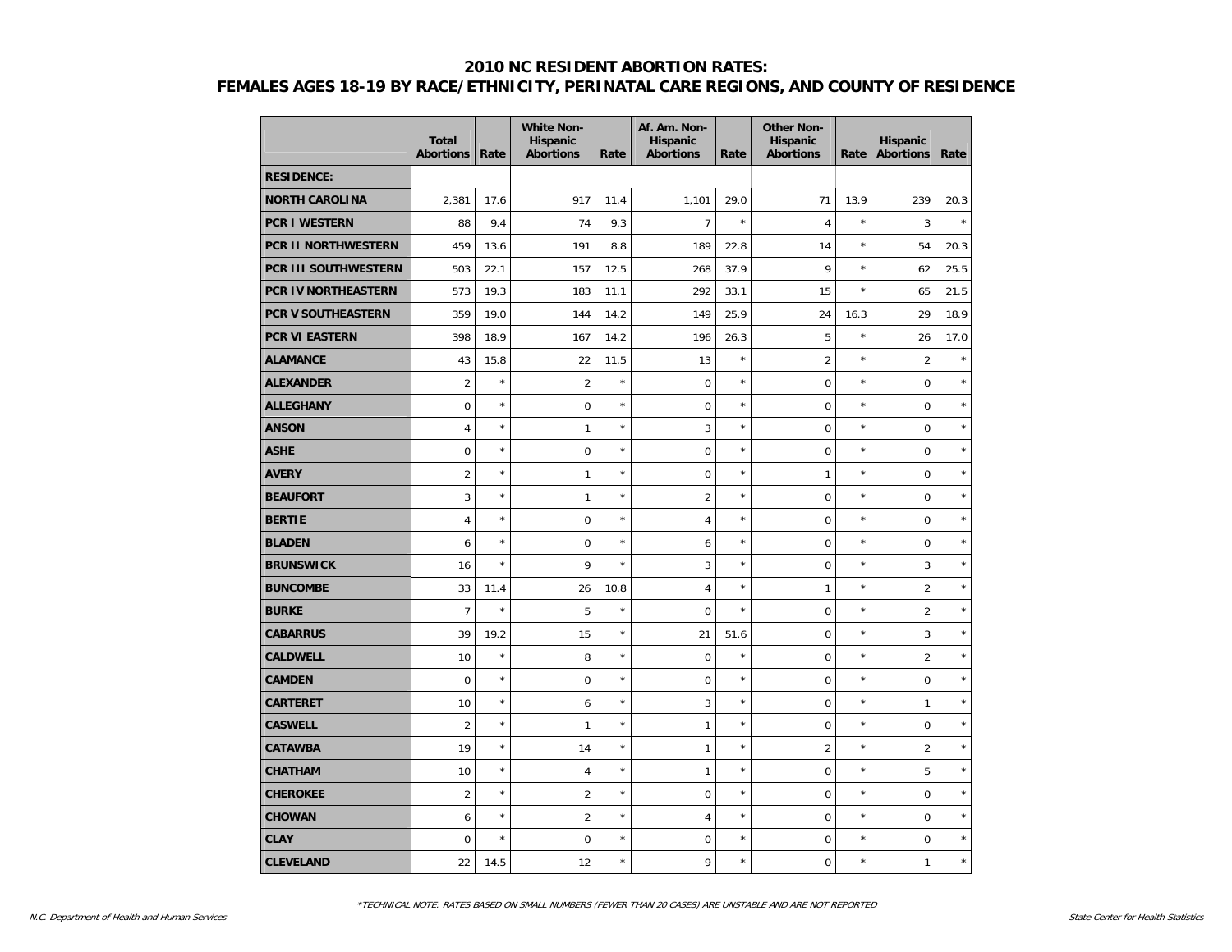|                       | <b>Total</b><br><b>Abortions</b> | Rate       | <b>White Non-</b><br>Hispanic<br><b>Abortions</b> | Rate    | Af. Am. Non-<br>Hispanic<br><b>Abortions</b> | Rate    | <b>Other Non-</b><br>Hispanic<br><b>Abortions</b> | Rate       | Hispanic<br><b>Abortions</b> | Rate    |
|-----------------------|----------------------------------|------------|---------------------------------------------------|---------|----------------------------------------------|---------|---------------------------------------------------|------------|------------------------------|---------|
| <b>RESIDENCE:</b>     |                                  |            |                                                   |         |                                              |         |                                                   |            |                              |         |
| <b>NORTH CAROLINA</b> | 2,381                            | 17.6       | 917                                               | 11.4    | 1,101                                        | 29.0    | 71                                                | 13.9       | 239                          | 20.3    |
| <b>PCR I WESTERN</b>  | 88                               | 9.4        | 74                                                | 9.3     | $\overline{7}$                               | $\star$ | $\sqrt{4}$                                        | $\star$    | 3                            | $\star$ |
| PCR II NORTHWESTERN   | 459                              | 13.6       | 191                                               | 8.8     | 189                                          | 22.8    | 14                                                | $\star$    | 54                           | 20.3    |
| PCR III SOUTHWESTERN  | 503                              | 22.1       | 157                                               | 12.5    | 268                                          | 37.9    | 9                                                 | $\star$    | 62                           | 25.5    |
| PCR IV NORTHEASTERN   | 573                              | 19.3       | 183                                               | 11.1    | 292                                          | 33.1    | 15                                                | $\star$    | 65                           | 21.5    |
| PCR V SOUTHEASTERN    | 359                              | 19.0       | 144                                               | 14.2    | 149                                          | 25.9    | 24                                                | 16.3       | 29                           | 18.9    |
| <b>PCR VI EASTERN</b> | 398                              | 18.9       | 167                                               | 14.2    | 196                                          | 26.3    | 5                                                 | $\star$    | 26                           | 17.0    |
| <b>ALAMANCE</b>       | 43                               | 15.8       | 22                                                | 11.5    | 13                                           | $\star$ | $\overline{2}$                                    | $\star$    | $\overline{2}$               | $\star$ |
| <b>ALEXANDER</b>      | $\overline{c}$                   | $\star$    | $\overline{2}$                                    | $\star$ | $\mathbf 0$                                  | $\star$ | $\mathbf 0$                                       | $\star$    | $\mathbf 0$                  |         |
| <b>ALLEGHANY</b>      | 0                                | $\star$    | $\mathbf 0$                                       | $\star$ | $\mathbf 0$                                  | $\star$ | $\overline{0}$                                    | $^{\star}$ | $\mathbf 0$                  | $\star$ |
| <b>ANSON</b>          | $\overline{4}$                   | $\star$    | $\mathbf{1}$                                      | $\star$ | 3                                            | $\star$ | $\overline{0}$                                    | $\star$    | $\mathbf 0$                  | $\star$ |
| <b>ASHE</b>           | 0                                | $\star$    | $\mathbf 0$                                       | $\star$ | $\overline{0}$                               | $\star$ | $\overline{0}$                                    | $^{\star}$ | $\mathbf 0$                  | $\star$ |
| <b>AVERY</b>          | $\overline{2}$                   | $\star$    | $\mathbf{1}$                                      | $\star$ | $\pmb{0}$                                    | $\star$ | $\mathbf{1}$                                      | $\star$    | $\pmb{0}$                    | $\star$ |
| <b>BEAUFORT</b>       | 3                                | $\star$    | $\mathbf{1}$                                      | $\star$ | $\overline{2}$                               | $\star$ | $\mathbf 0$                                       | $\star$    | $\mathbf 0$                  | $\star$ |
| <b>BERTIE</b>         | $\overline{4}$                   | $\star$    | $\boldsymbol{0}$                                  | $\star$ | $\overline{4}$                               | $\star$ | $\mathbf 0$                                       | $\star$    | $\mathbf 0$                  | $\star$ |
| <b>BLADEN</b>         | 6                                | $\star$    | $\mathbf 0$                                       | $\star$ | 6                                            | $\star$ | $\overline{0}$                                    | $\star$    | $\mathbf 0$                  | $\star$ |
| <b>BRUNSWICK</b>      | 16                               | $\star$    | 9                                                 | $\star$ | 3                                            | $\star$ | $\mathbf 0$                                       | $\star$    | 3                            | $\star$ |
| <b>BUNCOMBE</b>       | 33                               | 11.4       | 26                                                | 10.8    | $\overline{4}$                               | $\star$ | 1                                                 | $\star$    | $\overline{2}$               | $\star$ |
| <b>BURKE</b>          | $\overline{7}$                   | $\star$    | 5                                                 | $\star$ | $\mathbf 0$                                  | $\star$ | $\mathbf 0$                                       | $\star$    | $\overline{2}$               | $\star$ |
| CABARRUS              | 39                               | 19.2       | 15                                                | $\star$ | 21                                           | 51.6    | $\mathbf 0$                                       | $\star$    | 3                            | $\star$ |
| <b>CALDWELL</b>       | 10                               | $\star$    | 8                                                 | $\star$ | $\mathbf 0$                                  | ×       | $\mathbf 0$                                       | $\star$    | $\overline{2}$               | $\star$ |
| <b>CAMDEN</b>         | 0                                | $\star$    | $\mathbf 0$                                       | $\star$ | $\mathbf 0$                                  | $\star$ | $\overline{0}$                                    | $\star$    | $\mathbf 0$                  | $\star$ |
| <b>CARTERET</b>       | 10                               | $\star$    | 6                                                 | $\star$ | 3                                            | $\star$ | $\overline{0}$                                    | $\star$    | $\mathbf{1}$                 | $\star$ |
| <b>CASWELL</b>        | $\overline{2}$                   | $\star$    | $\mathbf{1}$                                      | $\star$ | $\mathbf{1}$                                 | $\star$ | $\mathbf 0$                                       | $^{\star}$ | $\pmb{0}$                    | $\star$ |
| <b>CATAWBA</b>        | 19                               | $\star$    | 14                                                | $\star$ | $\mathbf{1}$                                 | $\star$ | $\overline{2}$                                    | $\star$    | $\overline{2}$               | $\star$ |
| <b>CHATHAM</b>        | 10                               | $^{\star}$ | $\overline{4}$                                    | $\star$ | $\mathbf{1}$                                 | $\star$ | $\overline{0}$                                    | $\star$    | 5                            | $\star$ |
| <b>CHEROKEE</b>       | $\overline{2}$                   | $\star$    | $\overline{2}$                                    | $\star$ | $\mathbf 0$                                  | $\star$ | $\overline{0}$                                    | $\star$    | $\mathbf 0$                  | $\star$ |
| <b>CHOWAN</b>         | 6                                | $\star$    | $\overline{2}$                                    | $\star$ | $\overline{4}$                               | $\star$ | $\overline{0}$                                    | $\star$    | $\mathbf 0$                  | $\star$ |
| <b>CLAY</b>           | 0                                | $\star$    | $\mathbf 0$                                       | $\star$ | $\mathbf 0$                                  | ×       | $\mathbf 0$                                       | $\star$    | $\mathbf 0$                  | $\star$ |
| <b>CLEVELAND</b>      | 22                               | 14.5       | 12                                                | $\star$ | 9                                            | $\star$ | $\overline{0}$                                    | $\star$    | $\mathbf{1}$                 | $\star$ |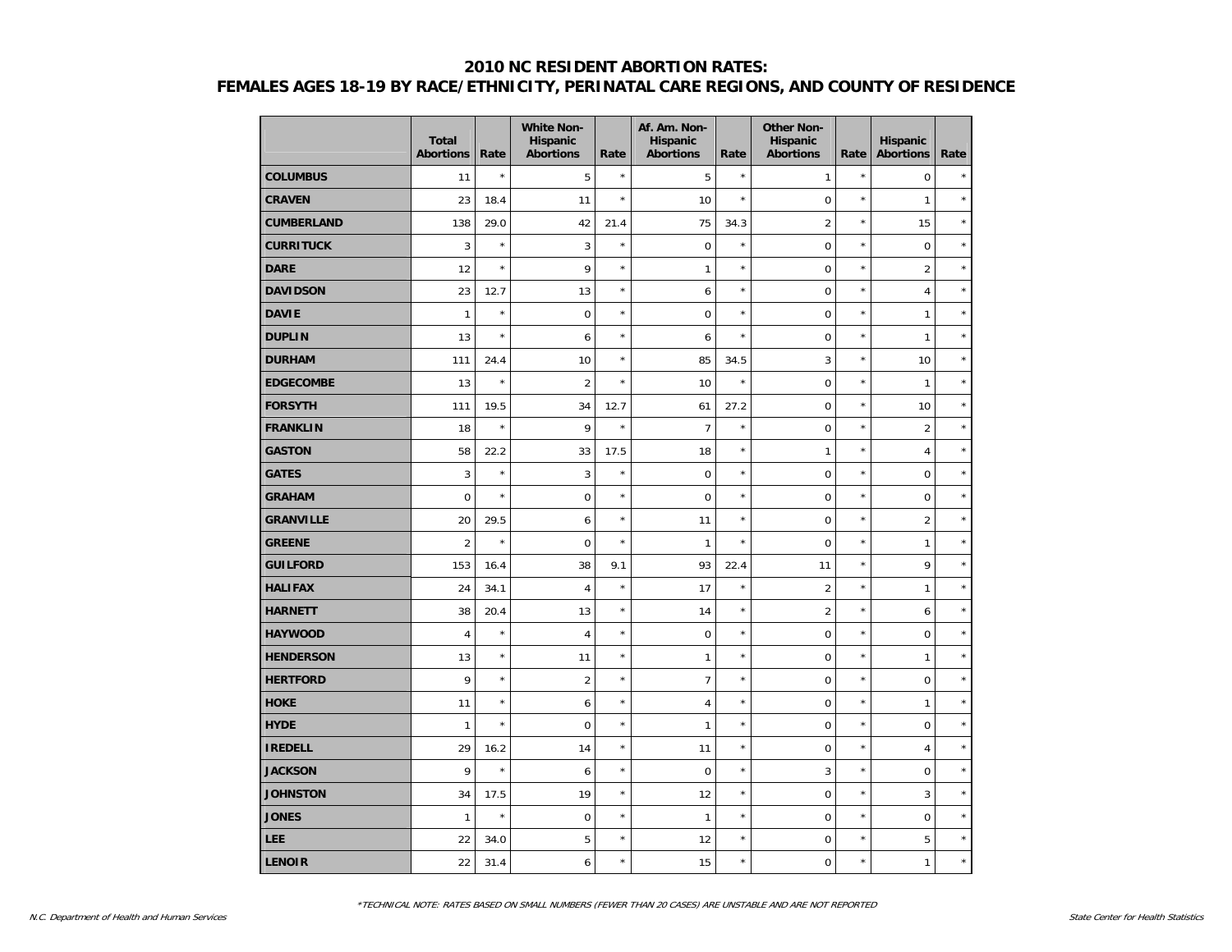|                   | <b>Total</b><br><b>Abortions</b> | Rate    | <b>White Non-</b><br><b>Hispanic</b><br><b>Abortions</b> | Rate    | Af. Am. Non-<br>Hispanic<br><b>Abortions</b> | Rate       | <b>Other Non-</b><br><b>Hispanic</b><br><b>Abortions</b> | Rate       | Hispanic<br><b>Abortions</b> | Rate    |
|-------------------|----------------------------------|---------|----------------------------------------------------------|---------|----------------------------------------------|------------|----------------------------------------------------------|------------|------------------------------|---------|
| <b>COLUMBUS</b>   | 11                               | $\star$ | 5                                                        | $\star$ | 5                                            | $\star$    | 1                                                        | $\star$    | $\mathbf 0$                  |         |
| <b>CRAVEN</b>     | 23                               | 18.4    | 11                                                       | $\star$ | 10                                           | $\star$    | $\mathbf 0$                                              | $\star$    | $\mathbf{1}$                 | $\star$ |
| <b>CUMBERLAND</b> | 138                              | 29.0    | 42                                                       | 21.4    | 75                                           | 34.3       | $\overline{2}$                                           | $\star$    | 15                           | $\star$ |
| <b>CURRITUCK</b>  | 3                                | $\star$ | 3                                                        | $\star$ | $\mathbf 0$                                  | $\star$    | $\mathbf 0$                                              | $\star$    | $\pmb{0}$                    | $\star$ |
| <b>DARE</b>       | 12                               | $\star$ | 9                                                        | $\star$ | $\mathbf{1}$                                 | $\star$    | $\mathbf 0$                                              | $^{\star}$ | $\overline{2}$               | $\star$ |
| <b>DAVIDSON</b>   | 23                               | 12.7    | 13                                                       | $\star$ | 6                                            | $\star$    | $\mathbf 0$                                              | $\star$    | $\overline{4}$               | $\star$ |
| <b>DAVIE</b>      | $\mathbf{1}$                     | $\star$ | $\mathbf 0$                                              | $\star$ | $\mathbf 0$                                  | $\star$    | $\mathbf 0$                                              | $\star$    | $\mathbf{1}$                 | $\star$ |
| <b>DUPLIN</b>     | 13                               | $\star$ | 6                                                        | $\star$ | 6                                            | $^{\star}$ | $\mathbf 0$                                              | $\star$    | $\mathbf{1}$                 | $\star$ |
| <b>DURHAM</b>     | 111                              | 24.4    | 10                                                       | $\star$ | 85                                           | 34.5       | 3                                                        | $^{\star}$ | 10                           | $\star$ |
| <b>EDGECOMBE</b>  | 13                               | $\star$ | $\overline{2}$                                           | $\star$ | 10                                           | $\star$    | $\mathbf 0$                                              | $\star$    | $\mathbf{1}$                 | $\star$ |
| <b>FORSYTH</b>    | 111                              | 19.5    | 34                                                       | 12.7    | 61                                           | 27.2       | $\mathbf 0$                                              | $^{\star}$ | 10                           | $\star$ |
| <b>FRANKLIN</b>   | 18                               | $\star$ | 9                                                        | $\star$ | $\overline{7}$                               | $^{\star}$ | $\mathbf 0$                                              | $\star$    | $\overline{2}$               | $\star$ |
| <b>GASTON</b>     | 58                               | 22.2    | 33                                                       | 17.5    | 18                                           | $^{\star}$ | $\mathbf{1}$                                             | $\star$    | $\overline{4}$               | $\star$ |
| <b>GATES</b>      | 3                                | $\star$ | 3                                                        | $\star$ | $\mathbf 0$                                  | $^{\star}$ | $\mathbf 0$                                              | $\star$    | $\pmb{0}$                    | $\star$ |
| <b>GRAHAM</b>     | $\mathbf 0$                      | $\star$ | $\mathbf 0$                                              | $\star$ | $\mathbf 0$                                  | $\star$    | $\mathbf 0$                                              | $\star$    | $\mathbf 0$                  | $\star$ |
| <b>GRANVILLE</b>  | 20                               | 29.5    | 6                                                        | $\star$ | 11                                           | $\star$    | $\mathbf 0$                                              | $^{\star}$ | $\overline{2}$               | $\star$ |
| <b>GREENE</b>     | $\overline{2}$                   | $\star$ | $\mathbf 0$                                              | $\star$ | $\mathbf{1}$                                 | $^{\star}$ | $\overline{0}$                                           | $\star$    | $\mathbf{1}$                 | $\star$ |
| <b>GUILFORD</b>   | 153                              | 16.4    | 38                                                       | 9.1     | 93                                           | 22.4       | 11                                                       | $\star$    | 9                            | $\star$ |
| <b>HALIFAX</b>    | 24                               | 34.1    | $\overline{4}$                                           | $\star$ | 17                                           | $^{\star}$ | $\overline{2}$                                           | $\star$    | $\mathbf{1}$                 | $\star$ |
| <b>HARNETT</b>    | 38                               | 20.4    | 13                                                       | $\star$ | 14                                           | $\star$    | $\overline{2}$                                           | $\star$    | 6                            | $\star$ |
| <b>HAYWOOD</b>    | $\overline{4}$                   | $\star$ | $\overline{4}$                                           | $\star$ | $\mathbf 0$                                  | $\star$    | $\mathbf 0$                                              | $\star$    | $\mathbf 0$                  | $\star$ |
| <b>HENDERSON</b>  | 13                               | $\star$ | 11                                                       | $\star$ | $\mathbf{1}$                                 | $^{\star}$ | $\mathbf 0$                                              | $\star$    | $\mathbf{1}$                 | $\star$ |
| <b>HERTFORD</b>   | 9                                | $\star$ | $\overline{2}$                                           | $\star$ | $\overline{7}$                               | $\star$    | $\mathbf 0$                                              | $\star$    | $\mathbf 0$                  | $\star$ |
| <b>HOKE</b>       | 11                               | $\star$ | 6                                                        | $\star$ | 4                                            | $\star$    | $\mathbf 0$                                              | $\star$    | $\mathbf{1}$                 | $\star$ |
| <b>HYDE</b>       | $\mathbf{1}$                     | $\star$ | $\boldsymbol{0}$                                         | $\star$ | 1                                            | $\star$    | $\mathbf 0$                                              | $\star$    | $\boldsymbol{0}$             | $\star$ |
| <b>IREDELL</b>    | 29                               | 16.2    | 14                                                       | $\star$ | 11                                           | $\star$    | $\mathbf 0$                                              | $\star$    | $\overline{4}$               | $\star$ |
| <b>JACKSON</b>    | 9                                | $\star$ | 6                                                        | $\star$ | $\mathbf 0$                                  | $\star$    | 3                                                        | $\star$    | $\mathbf 0$                  | $\star$ |
| <b>JOHNSTON</b>   | 34                               | 17.5    | 19                                                       | $\star$ | 12                                           | $\star$    | $\mathbf 0$                                              | $\star$    | 3                            | $\star$ |
| <b>JONES</b>      | $\mathbf{1}$                     | $\star$ | $\mathbf 0$                                              | $\star$ | $\mathbf{1}$                                 | $\star$    | $\mathbf 0$                                              | $\star$    | $\mathbf 0$                  | $\star$ |
| <b>LEE</b>        | 22                               | 34.0    | 5                                                        | $\star$ | 12                                           | $\star$    | $\mathbf 0$                                              | $\star$    | 5                            | $\star$ |
| <b>LENOIR</b>     | 22                               | 31.4    | 6                                                        | $\star$ | 15                                           | $\star$    | $\mathbf 0$                                              | $\star$    | $\mathbf{1}$                 | $\star$ |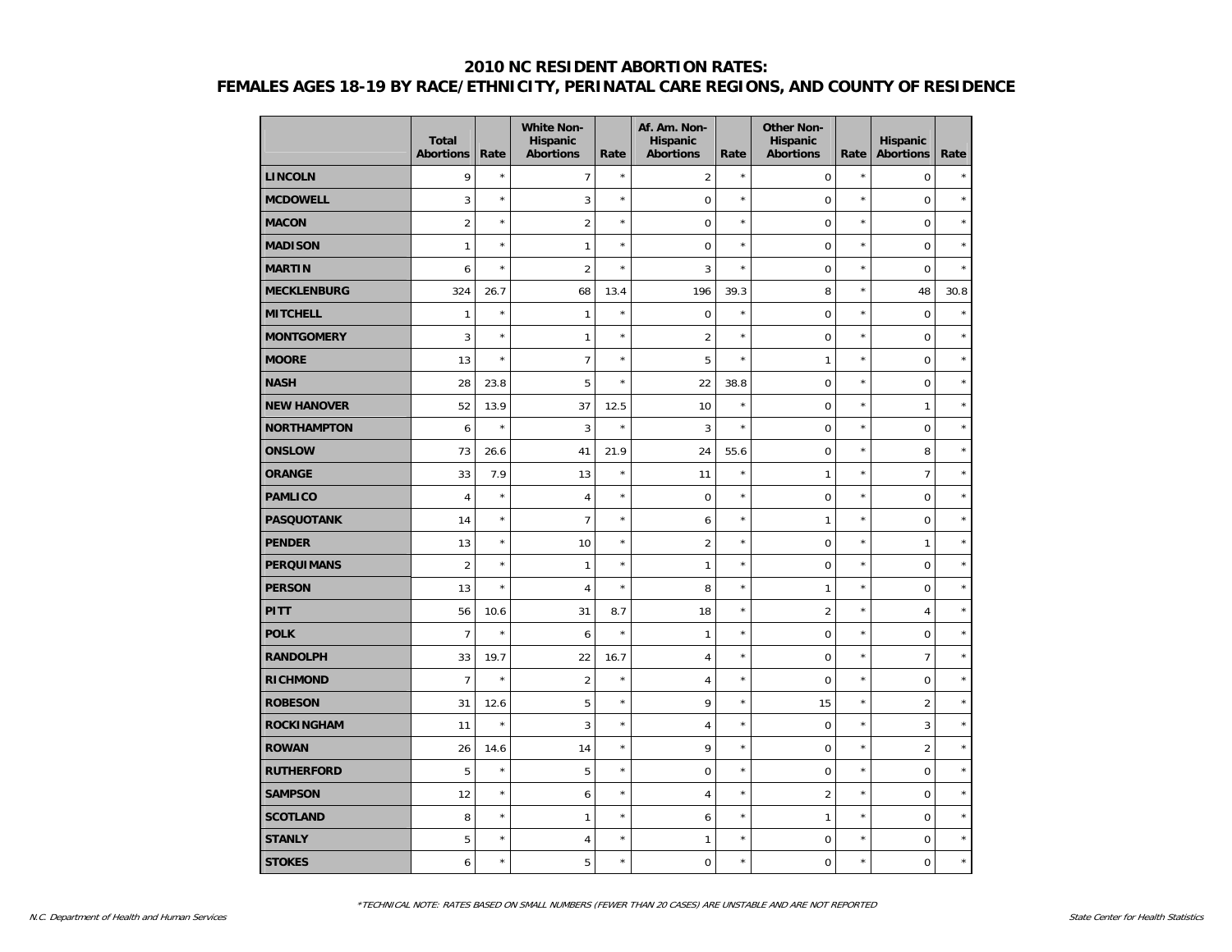|                    | <b>Total</b><br><b>Abortions</b> | Rate    | <b>White Non-</b><br>Hispanic<br><b>Abortions</b> | Rate       | Af. Am. Non-<br>Hispanic<br><b>Abortions</b> | Rate       | <b>Other Non-</b><br><b>Hispanic</b><br><b>Abortions</b> | Rate       | <b>Hispanic</b><br><b>Abortions</b> | Rate    |
|--------------------|----------------------------------|---------|---------------------------------------------------|------------|----------------------------------------------|------------|----------------------------------------------------------|------------|-------------------------------------|---------|
| <b>LINCOLN</b>     | 9                                | $\star$ | 7                                                 | $\star$    | $\overline{2}$                               | $\star$    | $\pmb{0}$                                                | $\star$    | $\mathbf 0$                         | $\star$ |
| <b>MCDOWELL</b>    | 3                                | $\star$ | 3                                                 | $\star$    | $\mathbf 0$                                  | $\star$    | $\mathbf 0$                                              | $\star$    | $\mathbf 0$                         | $\star$ |
| <b>MACON</b>       | $\overline{2}$                   | $\star$ | $\overline{2}$                                    | $\star$    | $\mathbf 0$                                  | $\star$    | $\mathbf 0$                                              | $\star$    | $\mathbf 0$                         | $\star$ |
| <b>MADISON</b>     | $\mathbf{1}$                     | $\star$ | $\mathbf{1}$                                      | $\star$    | $\mathbf 0$                                  | $\star$    | $\mathbf 0$                                              | $\star$    | $\mathbf 0$                         | $\star$ |
| <b>MARTIN</b>      | 6                                | $\star$ | $\overline{2}$                                    | $\star$    | 3                                            | $\star$    | $\mathbf 0$                                              | $\star$    | $\mathbf 0$                         | $\star$ |
| <b>MECKLENBURG</b> | 324                              | 26.7    | 68                                                | 13.4       | 196                                          | 39.3       | 8                                                        | $\star$    | 48                                  | 30.8    |
| <b>MITCHELL</b>    | $\mathbf{1}$                     | $\star$ | $\mathbf{1}$                                      | $\star$    | $\mathbf 0$                                  | $\star$    | $\mathbf 0$                                              | $\star$    | $\mathbf 0$                         | $\star$ |
| <b>MONTGOMERY</b>  | 3                                | $\star$ | $\mathbf{1}$                                      | $\star$    | $\overline{2}$                               | $\star$    | $\mathbf 0$                                              | $\star$    | $\mathbf 0$                         | $\star$ |
| <b>MOORE</b>       | 13                               | $\star$ | 7                                                 | $\star$    | 5                                            | $\star$    | 1                                                        | $\star$    | $\mathbf 0$                         | $\star$ |
| <b>NASH</b>        | 28                               | 23.8    | 5                                                 | $\star$    | 22                                           | 38.8       | $\mathbf 0$                                              | $\star$    | $\mathbf 0$                         | $\star$ |
| <b>NEW HANOVER</b> | 52                               | 13.9    | 37                                                | 12.5       | 10                                           | $\star$    | $\mathbf 0$                                              | $\star$    | $\mathbf{1}$                        | $\star$ |
| <b>NORTHAMPTON</b> | 6                                | $\star$ | 3                                                 | $\star$    | 3                                            | $\star$    | $\mathbf 0$                                              | $\star$    | $\mathbf 0$                         | $\star$ |
| <b>ONSLOW</b>      | 73                               | 26.6    | 41                                                | 21.9       | 24                                           | 55.6       | $\mathbf 0$                                              | $\star$    | 8                                   | $\star$ |
| <b>ORANGE</b>      | 33                               | 7.9     | 13                                                | $\star$    | 11                                           | $\star$    | 1                                                        | $\star$    | $\overline{7}$                      | $\star$ |
| <b>PAMLICO</b>     | $\overline{4}$                   | $\star$ | $\overline{4}$                                    | $\star$    | $\mathbf 0$                                  | $\star$    | $\mathbf 0$                                              | $\star$    | $\mathbf 0$                         | $\star$ |
| <b>PASQUOTANK</b>  | 14                               | $\star$ | $\overline{7}$                                    | $\star$    | 6                                            | $\star$    | 1                                                        | $\star$    | $\mathbf 0$                         | $\star$ |
| <b>PENDER</b>      | 13                               | $\star$ | 10                                                | $\star$    | $\overline{2}$                               | $\star$    | $\mathbf 0$                                              | $\star$    | $\mathbf{1}$                        | $\star$ |
| <b>PERQUIMANS</b>  | $\overline{2}$                   | $\star$ | $\mathbf{1}$                                      | $\star$    | $\mathbf{1}$                                 | $\star$    | $\mathbf 0$                                              | $\star$    | $\boldsymbol{0}$                    | $\star$ |
| <b>PERSON</b>      | 13                               | $\star$ | $\overline{4}$                                    | $\star$    | 8                                            | $\star$    | 1                                                        | $\star$    | $\mathbf 0$                         | $\star$ |
| <b>PITT</b>        | 56                               | 10.6    | 31                                                | 8.7        | 18                                           | $\star$    | $\overline{2}$                                           | ×          | $\overline{4}$                      | $\star$ |
| <b>POLK</b>        | $\overline{7}$                   | $\star$ | 6                                                 | $\star$    | 1                                            | $\star$    | $\mathbf 0$                                              | $\star$    | $\mathbf 0$                         | $\star$ |
| <b>RANDOLPH</b>    | 33                               | 19.7    | 22                                                | 16.7       | $\overline{4}$                               | $\star$    | $\mathbf 0$                                              | $\star$    | $\overline{7}$                      | $\star$ |
| <b>RICHMOND</b>    | $\overline{7}$                   | $\star$ | $\overline{2}$                                    | $\star$    | $\overline{4}$                               | $\star$    | $\mathbf 0$                                              | $\star$    | $\mathbf 0$                         | $\star$ |
| <b>ROBESON</b>     | 31                               | 12.6    | 5                                                 | $\star$    | 9                                            | $\star$    | 15                                                       | $\star$    | $\overline{2}$                      | $\star$ |
| <b>ROCKINGHAM</b>  | 11                               | $\star$ | 3                                                 | $\star$    | $\sqrt{4}$                                   | $^{\star}$ | $\mathbf 0$                                              | $^{\star}$ | $\mathbf{3}$                        | $\star$ |
| <b>ROWAN</b>       | 26                               | 14.6    | 14                                                | $\star$    | 9                                            | $\star$    | $\mathbf 0$                                              | $\star$    | $\overline{2}$                      | $\star$ |
| <b>RUTHERFORD</b>  | 5                                | $\star$ | 5                                                 | $^{\star}$ | $\mathbf 0$                                  | $^{\star}$ | $\mathbf 0$                                              | $^{\star}$ | $\mathbf 0$                         | $\star$ |
| <b>SAMPSON</b>     | 12                               | $\star$ | 6                                                 | $\star$    | $\overline{4}$                               | $\star$    | $\overline{2}$                                           | $\star$    | $\mathbf 0$                         | $\star$ |
| <b>SCOTLAND</b>    | 8                                | $\star$ | $\mathbf{1}$                                      | $\star$    | 6                                            | $^{\star}$ | 1                                                        | $^{\star}$ | $\mathbf 0$                         | $\star$ |
| <b>STANLY</b>      | 5                                | $\star$ | $\overline{4}$                                    | $\star$    | $\mathbf{1}$                                 | $^{\star}$ | $\mathbf 0$                                              | $\star$    | $\mathbf 0$                         | $\star$ |
| <b>STOKES</b>      | 6                                | $\star$ | 5                                                 | $\star$    | $\mathbf 0$                                  | $\star$    | $\mathbf 0$                                              | $\star$    | $\mathbf 0$                         | $\star$ |